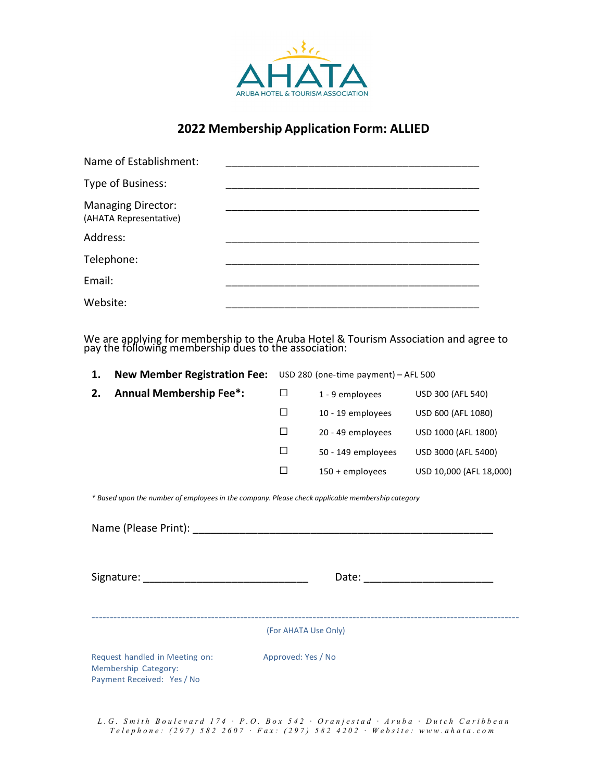

## **2022 Membership Application Form: ALLIED**

| Name of Establishment:                              |  |
|-----------------------------------------------------|--|
| Type of Business:                                   |  |
| <b>Managing Director:</b><br>(AHATA Representative) |  |
| Address:                                            |  |
| Telephone:                                          |  |
| Email:                                              |  |
| Website:                                            |  |

We are applying for membership to the Aruba Hotel & Tourism Association and agree to pay the following membership dues to the association:

| 1. | <b>New Member Registration Fee:</b> | USD 280 (one-time payment) - AFL 500 |                    |                         |
|----|-------------------------------------|--------------------------------------|--------------------|-------------------------|
| 2. | <b>Annual Membership Fee*:</b>      |                                      | 1 - 9 employees    | USD 300 (AFL 540)       |
|    |                                     | П                                    | 10 - 19 employees  | USD 600 (AFL 1080)      |
|    |                                     |                                      | 20 - 49 employees  | USD 1000 (AFL 1800)     |
|    |                                     | $\perp$                              | 50 - 149 employees | USD 3000 (AFL 5400)     |
|    |                                     | $\mathsf{L}$                         | $150 +$ employees  | USD 10,000 (AFL 18,000) |
|    |                                     |                                      |                    |                         |

*\* Based upon the number of employees in the company. Please check applicable membership category* 

Name (Please Print): <u>and</u> the set of the set of the set of the set of the set of the set of the set of the set of the set of the set of the set of the set of the set of the set of the set of the set of the set of the set

Signature: \_\_\_\_\_\_\_\_\_\_\_\_\_\_\_\_\_\_\_\_\_\_\_\_\_\_\_\_ Date: \_\_\_\_\_\_\_\_\_\_\_\_\_\_\_\_\_\_\_\_\_\_

----------------------------------------------------------------------------------------------------------------------

(For AHATA Use Only)

Request handled in Meeting on: Approved: Yes / No Membership Category: Payment Received: Yes / No

*L . G . S m i t h B o u l e v a r d 1 7 4 · P . O . B o x 5 4 2 · O r a n j e s t a d · A r u b a · D u t c h C a r i b b e a n T e l e p h o n e : ( 2 9 7 ) 5 8 2 2 6 0 7 · F a x : ( 2 9 7 ) 5 8 2 4 2 0 2 · W e b s i t e : w w w . a h a t a . c o m*